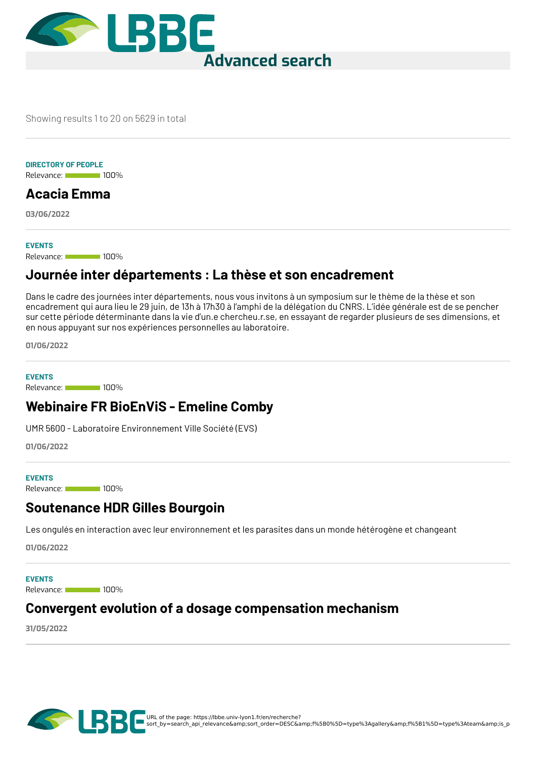

Showing results 1 to 20 on 5629 in total

#### **DIRECTORY OF PEOPLE**

Relevance: 100%

## **[Acacia](https://lbbe.univ-lyon1.fr/en/node/99198) Emma**

**03/06/2022**

#### **EVENTS**

Relevance: 100%

### **Journée inter [départements](https://lbbe.univ-lyon1.fr/en/node/98933) : La thèse et son encadrement**

Dans le cadre des journées inter départements, nous vous invitons à un symposium sur le thème de la thèse et son encadrement qui aura lieu le 29 juin, de 13h à 17h30 à l'amphi de la délégation du CNRS. L'idée générale est de se pencher sur cette période déterminante dans la vie d'un.e chercheu.r.se, en essayant de regarder plusieurs de ses dimensions, et en nous appuyant sur nos expériences personnelles au laboratoire.

**01/06/2022**

Relevance: 100% **EVENTS**

## **[Webinaire](https://lbbe.univ-lyon1.fr/en/node/98932) FR BioEnViS - Emeline Comby**

UMR 5600 - Laboratoire Environnement Ville Société (EVS)

**01/06/2022**

#### **EVENTS**

Relevance: 100%

### **[Soutenance](https://lbbe.univ-lyon1.fr/en/node/98931) HDR Gilles Bourgoin**

Les ongulés en interaction avec leur environnement et les parasites dans un monde hétérogène et changeant

**01/06/2022**

Relevance: 100% **EVENTS**

### **Convergent evolution of a dosage [compensation](https://lbbe.univ-lyon1.fr/en/node/98804) mechanism**

**31/05/2022**

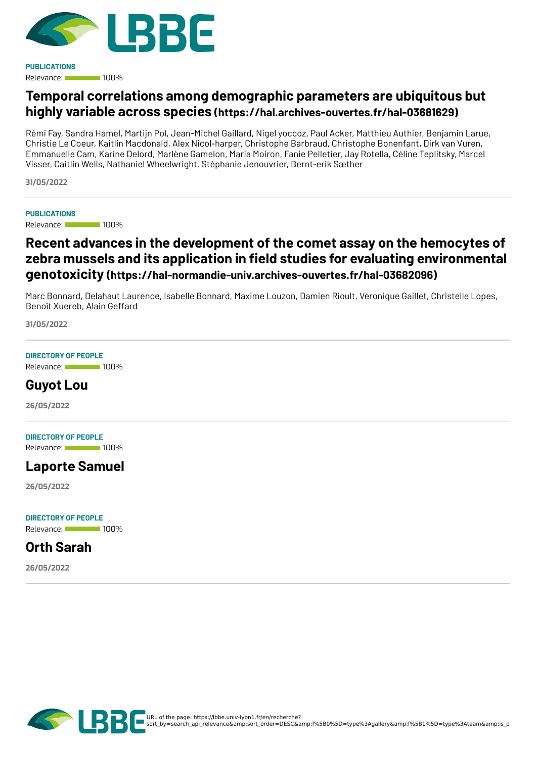

Relevance: 100% **PUBLICATIONS**

## **Temporal correlations among demographic parameters are ubiquitous but highly variable across species [\(https://hal.archives-ouvertes.fr/hal-03681629\)](https://hal.archives-ouvertes.fr/hal-03681629)**

Rémi Fay, Sandra Hamel, Martijn Pol, Jean-Michel Gaillard, Nigel yoccoz, Paul Acker, Matthieu Authier, Benjamin Larue, Christie Le Coeur, Kaitlin Macdonald, Alex Nicol‐harper, Christophe Barbraud, Christophe Bonenfant, Dirk van Vuren, Emmanuelle Cam, Karine Delord, Marlène Gamelon, Maria Moiron, Fanie Pelletier, Jay Rotella, Céline Teplitsky, Marcel Visser, Caitlin Wells, Nathaniel Wheelwright, Stéphanie Jenouvrier, Bernt‐erik Sæther

**31/05/2022**

#### **PUBLICATIONS**

Relevance: 100%

## **Recent advances in the development of the comet assay on the hemocytes of zebra mussels and its application in <eld studies for evaluating environmental genotoxicity [\(https://hal-normandie-univ.archives-ouvertes.fr/hal-03682096\)](https://hal-normandie-univ.archives-ouvertes.fr/hal-03682096)**

Marc Bonnard, Delahaut Laurence, Isabelle Bonnard, Maxime Louzon, Damien Rioult, Véronique Gaillet, Christelle Lopes, Benoît Xuereb, Alain Geffard

**31/05/2022**

#### **DIRECTORY OF PEOPLE**

Relevance: 100%

### **[Guyot](https://lbbe.univ-lyon1.fr/en/node/98039) Lou**

**26/05/2022**

#### **DIRECTORY OF PEOPLE**

Relevance: 100%

### **[Laporte](https://lbbe.univ-lyon1.fr/en/node/98038) Samuel**

**26/05/2022**

#### **DIRECTORY OF PEOPLE**

Relevance: 100%

### **Orth [Sarah](https://lbbe.univ-lyon1.fr/en/node/98037)**

**26/05/2022**

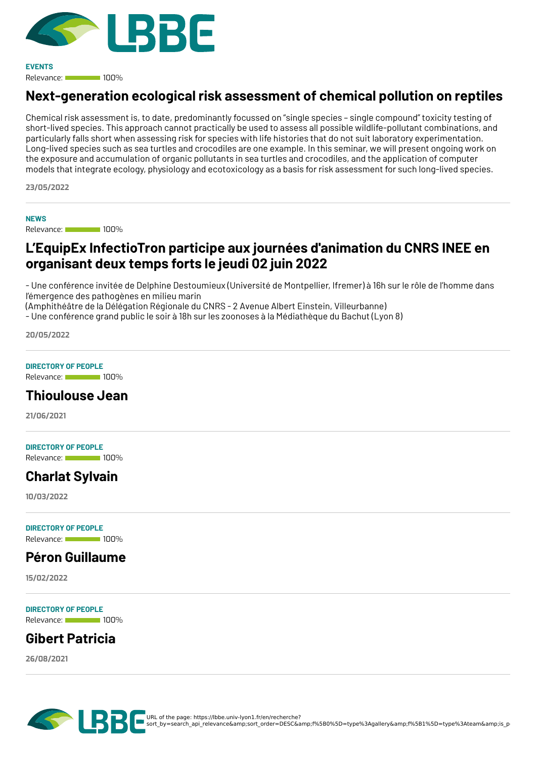

Relevance: 100% **EVENTS**

## **[Next-generation](https://lbbe.univ-lyon1.fr/en/node/97644) ecological risk assessment of chemical pollution on reptiles**

Chemical risk assessment is, to date, predominantly focussed on "single species – single compound" toxicity testing of short-lived species. This approach cannot practically be used to assess all possible wildlife-pollutant combinations, and particularly falls short when assessing risk for species with life histories that do not suit laboratory experimentation. Long-lived species such as sea turtles and crocodiles are one example. In this seminar, we will present ongoing work on the exposure and accumulation of organic pollutants in sea turtles and crocodiles, and the application of computer models that integrate ecology, physiology and ecotoxicology as a basis for risk assessment for such long-lived species.

**23/05/2022**

**NEWS**

Relevance: 100%

## **L'EquipEx [InfectioTron](https://lbbe.univ-lyon1.fr/en/node/97223) participe aux journées d'animation du CNRS INEE en organisant deux temps forts le jeudi 02 juin 2022**

- Une conférence invitée de Delphine Destoumieux (Université de Montpellier, Ifremer) à 16h sur le rôle de l'homme dans l'émergence des pathogènes en milieu marin

(Amphithéâtre de la Délégation Régionale du CNRS - 2 Avenue Albert Einstein, Villeurbanne)

- Une conférence grand public le soir à 18h sur les zoonoses à la Médiathèque du Bachut (Lyon 8)

**20/05/2022**

#### **DIRECTORY OF PEOPLE**

Relevance: 100%

### **[Thioulouse](https://lbbe.univ-lyon1.fr/en/annuaires-des-membres/thioulouse-jean) Jean**

**21/06/2021**

#### **DIRECTORY OF PEOPLE**

Relevance: 100%

## **[Charlat](https://lbbe.univ-lyon1.fr/en/directory-of-people/charlat-sylvain) Sylvain**

**10/03/2022**

**DIRECTORY OF PEOPLE**

#### Relevance: 100%

### **Péron [Guillaume](https://lbbe.univ-lyon1.fr/en/annuaire-des-membres/peron-guillaume)**

**15/02/2022**

Relevance: 100% **DIRECTORY OF PEOPLE**

## **Gibert [Patricia](https://lbbe.univ-lyon1.fr/en/directory-of-people/gibert-patricia)**

**26/08/2021**

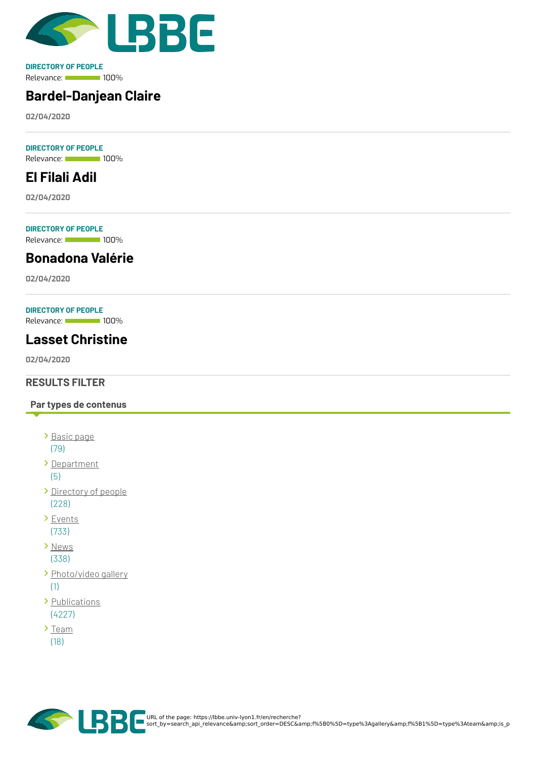

Relevance: 100% **DIRECTORY OF PEOPLE**

# **[Bardel-Danjean](https://lbbe.univ-lyon1.fr/en/node/5582) Claire**

**02/04/2020**

Relevance: 100% **DIRECTORY OF PEOPLE**

# **El [Filali](https://lbbe.univ-lyon1.fr/en/node/5581) Adil**

**02/04/2020**

Relevance: 100% **DIRECTORY OF PEOPLE**

**[Bonadona](https://lbbe.univ-lyon1.fr/en/node/5580) Valérie**

**02/04/2020**

#### **DIRECTORY OF PEOPLE**

Relevance: 100%

## **Lasset [Christine](https://lbbe.univ-lyon1.fr/en/node/5579)**

**02/04/2020**

#### **RESULTS FILTER**

#### **Par types de contenus**

- [Basic](https://lbbe.univ-lyon1.fr/en/recherche?sort_by=search_api_relevance&%253Bsort_order=DESC&%253Bf%255B0%255D=type%253Agallery&%253Bf%255B1%255D=type%253Ateam&%253Bis_pdf=true&f%255B0%255D=type%253Apage) page (79)
- [Department](https://lbbe.univ-lyon1.fr/en/recherche?sort_by=search_api_relevance&%253Bsort_order=DESC&%253Bf%255B0%255D=type%253Agallery&%253Bf%255B1%255D=type%253Ateam&%253Bis_pdf=true&f%255B0%255D=type%253Adepartment)

(5)

- [Directory](https://lbbe.univ-lyon1.fr/en/recherche?sort_by=search_api_relevance&%253Bsort_order=DESC&%253Bf%255B0%255D=type%253Agallery&%253Bf%255B1%255D=type%253Ateam&%253Bis_pdf=true&f%255B0%255D=type%253Adirectorypeople) of people (228)
- > [Events](https://lbbe.univ-lyon1.fr/en/recherche?sort_by=search_api_relevance&%253Bsort_order=DESC&%253Bf%255B0%255D=type%253Agallery&%253Bf%255B1%255D=type%253Ateam&%253Bis_pdf=true&f%255B0%255D=type%253Aevent) (733)
- > [News](https://lbbe.univ-lyon1.fr/en/recherche?sort_by=search_api_relevance&%253Bsort_order=DESC&%253Bf%255B0%255D=type%253Agallery&%253Bf%255B1%255D=type%253Ateam&%253Bis_pdf=true&f%255B0%255D=type%253Anews) (338)
- > [Photo/video](https://lbbe.univ-lyon1.fr/en/recherche?sort_by=search_api_relevance&%253Bsort_order=DESC&%253Bf%255B0%255D=type%253Agallery&%253Bf%255B1%255D=type%253Ateam&%253Bis_pdf=true&f%255B0%255D=type%253Agallery) gallery (1)
- > [Publications](https://lbbe.univ-lyon1.fr/en/recherche?sort_by=search_api_relevance&%253Bsort_order=DESC&%253Bf%255B0%255D=type%253Agallery&%253Bf%255B1%255D=type%253Ateam&%253Bis_pdf=true&f%255B0%255D=type%253Apublications) (4227)
- $\sum_{i=1}^{n}$ (18)